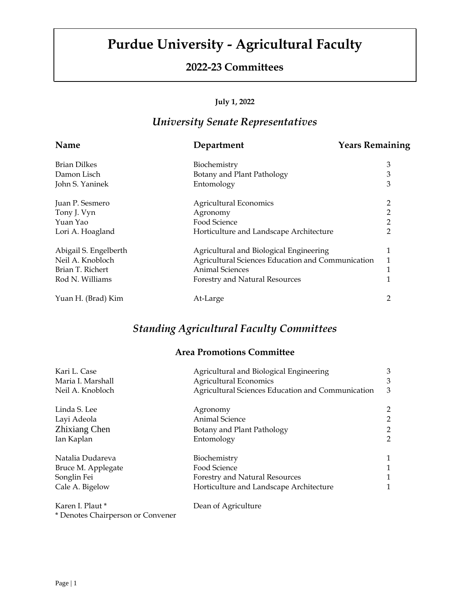# **Purdue University - Agricultural Faculty**

### **2022-23 Committees**

#### **July 1, 2022**

## *University Senate Representatives*

| Name                  | Department                                        | <b>Years Remaining</b> |
|-----------------------|---------------------------------------------------|------------------------|
| <b>Brian Dilkes</b>   | Biochemistry                                      | 3                      |
| Damon Lisch           | Botany and Plant Pathology                        | 3                      |
| John S. Yaninek       | Entomology                                        | 3                      |
| Juan P. Sesmero       | <b>Agricultural Economics</b>                     | 2                      |
| Tony J. Vyn           | Agronomy                                          | $\overline{2}$         |
| Yuan Yao              | Food Science                                      | 2                      |
| Lori A. Hoagland      | Horticulture and Landscape Architecture           | $\overline{2}$         |
| Abigail S. Engelberth | Agricultural and Biological Engineering           | 1                      |
| Neil A. Knobloch      | Agricultural Sciences Education and Communication | 1                      |
| Brian T. Richert      | <b>Animal Sciences</b>                            | 1                      |
| Rod N. Williams       | Forestry and Natural Resources                    | 1                      |
| Yuan H. (Brad) Kim    | At-Large                                          | 2                      |

### *Standing Agricultural Faculty Committees*

### **Area Promotions Committee**

| Kari L. Case<br>Agricultural and Biological Engineering |                                                   | 3              |
|---------------------------------------------------------|---------------------------------------------------|----------------|
| Maria I. Marshall                                       | <b>Agricultural Economics</b>                     | 3              |
| Neil A. Knobloch                                        | Agricultural Sciences Education and Communication | 3              |
| Linda S. Lee                                            | Agronomy                                          | $\overline{c}$ |
| Layi Adeola                                             | Animal Science                                    | $\overline{2}$ |
| Zhixiang Chen                                           | Botany and Plant Pathology                        | $\overline{c}$ |
| Ian Kaplan                                              | Entomology                                        | $\overline{2}$ |
| Natalia Dudareva                                        | Biochemistry                                      | 1              |
| Bruce M. Applegate                                      | Food Science                                      | 1              |
| Songlin Fei                                             | Forestry and Natural Resources                    | 1              |
| Cale A. Bigelow                                         | Horticulture and Landscape Architecture           | 1              |
| Karen I. Plaut *                                        | Dean of Agriculture                               |                |
| * Denotes Chairperson or Convener                       |                                                   |                |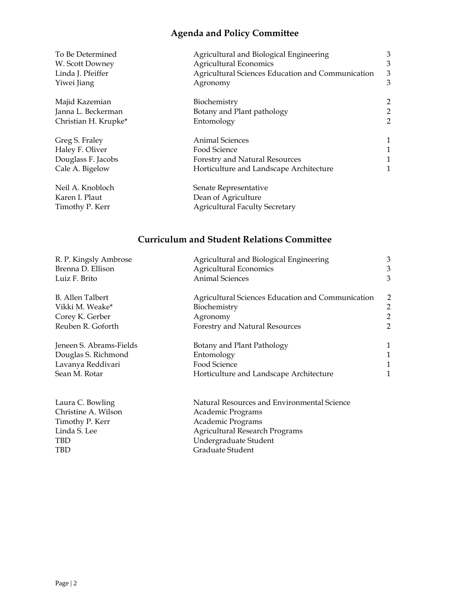## **Agenda and Policy Committee**

| To Be Determined                                      | Agricultural and Biological Engineering                                               | 3                       |
|-------------------------------------------------------|---------------------------------------------------------------------------------------|-------------------------|
| W. Scott Downey                                       | <b>Agricultural Economics</b>                                                         | 3                       |
| Linda J. Pfeiffer                                     | Agricultural Sciences Education and Communication                                     | 3                       |
| Yiwei Jiang                                           | Agronomy                                                                              | 3                       |
| Majid Kazemian                                        | Biochemistry                                                                          | $\overline{\mathbf{c}}$ |
| Janna L. Beckerman                                    | Botany and Plant pathology                                                            | $\overline{c}$          |
| Christian H. Krupke*                                  | Entomology                                                                            | 2                       |
| Greg S. Fraley                                        | <b>Animal Sciences</b>                                                                | $\mathbf 1$             |
| Haley F. Oliver                                       | Food Science                                                                          | $\mathbf 1$             |
| Douglass F. Jacobs                                    | Forestry and Natural Resources                                                        | 1                       |
| Cale A. Bigelow                                       | Horticulture and Landscape Architecture                                               | 1                       |
| Neil A. Knobloch<br>Karen I. Plaut<br>Timothy P. Kerr | Senate Representative<br>Dean of Agriculture<br><b>Agricultural Faculty Secretary</b> |                         |

## **Curriculum and Student Relations Committee**

| R. P. Kingsly Ambrose       | Agricultural and Biological Engineering           | 3 |
|-----------------------------|---------------------------------------------------|---|
| Brenna D. Ellison           | <b>Agricultural Economics</b>                     | 3 |
| Luiz F. Brito               | <b>Animal Sciences</b>                            | 3 |
| B. Allen Talbert            | Agricultural Sciences Education and Communication | 2 |
| Vikki M. Weake*             | Biochemistry                                      | 2 |
| Corey K. Gerber<br>Agronomy |                                                   | 2 |
| Reuben R. Goforth           | <b>Forestry and Natural Resources</b>             | 2 |
| Jeneen S. Abrams-Fields     | Botany and Plant Pathology                        | 1 |
| Douglas S. Richmond         | Entomology                                        | 1 |
| Lavanya Reddivari           | Food Science                                      | 1 |
| Sean M. Rotar               | Horticulture and Landscape Architecture           | 1 |
| Laura C. Bowling            | Natural Resources and Environmental Science       |   |
| Christine A. Wilson         | Academic Programs                                 |   |
| Timothy P. Kerr             | Academic Programs                                 |   |
| Linda S. Lee                | <b>Agricultural Research Programs</b>             |   |
| <b>TBD</b>                  | Undergraduate Student                             |   |
| <b>TBD</b>                  | Graduate Student                                  |   |
|                             |                                                   |   |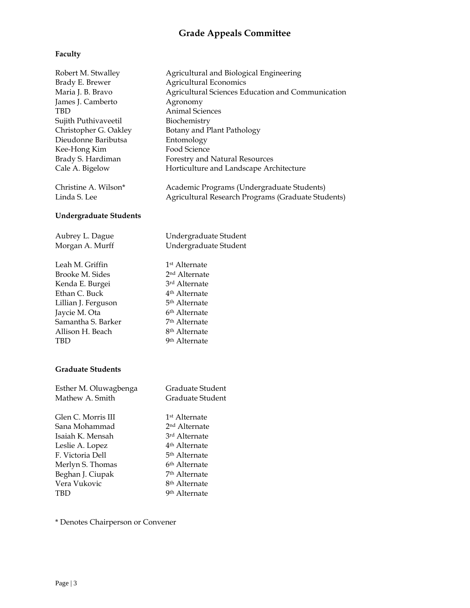## **Grade Appeals Committee**

#### **Faculty**

| Robert M. Stwalley            | Agricultural and Biological Engineering            |
|-------------------------------|----------------------------------------------------|
| Brady E. Brewer               | Agricultural Economics                             |
| Maria J. B. Bravo             | Agricultural Sciences Education and Communication  |
| James J. Camberto             | Agronomy                                           |
| <b>TBD</b>                    | <b>Animal Sciences</b>                             |
| Sujith Puthivaveetil          | Biochemistry                                       |
| Christopher G. Oakley         | Botany and Plant Pathology                         |
| Dieudonne Baributsa           | Entomology                                         |
| Kee-Hong Kim                  | Food Science                                       |
| Brady S. Hardiman             | Forestry and Natural Resources                     |
| Cale A. Bigelow               | Horticulture and Landscape Architecture            |
| Christine A. Wilson*          | Academic Programs (Undergraduate Students)         |
| Linda S. Lee                  | Agricultural Research Programs (Graduate Students) |
| <b>Undergraduate Students</b> |                                                    |
| Aubrey L. Dague               | Undergraduate Student                              |
| Morgan A. Murff               | Undergraduate Student                              |
| Leah M. Griffin               | 1 <sup>st</sup> Alternate                          |
| Brooke M. Sides               | 2 <sup>nd</sup> Alternate                          |
| Kenda E. Burgei               | 3rd Alternate                                      |
| Ethan C. Buck                 | 4 <sup>th</sup> Alternate                          |
| Lillian J. Ferguson           | 5 <sup>th</sup> Alternate                          |
| Jaycie M. Ota                 | 6 <sup>th</sup> Alternate                          |
| Samantha S. Barker            | 7 <sup>th</sup> Alternate                          |
| Allison H. Beach              | 8 <sup>th</sup> Alternate                          |
| <b>TBD</b>                    | 9 <sup>th</sup> Alternate                          |
| <b>Graduate Students</b>      |                                                    |
| Esther M. Oluwagbenga         | Graduate Student                                   |
| Mathew A. Smith               | Graduate Student                                   |
| Glen C. Morris III            | 1 <sup>st</sup> Alternate                          |
| Sana Mohammad                 | 2 <sup>nd</sup> Alternate                          |
| Isaiah K. Mensah              | 3rd Alternate                                      |
| Leslie A. Lopez               | 4 <sup>th</sup> Alternate                          |
| F. Victoria Dell              | 5 <sup>th</sup> Alternate                          |
| Merlyn S. Thomas              | 6 <sup>th</sup> Alternate                          |
| Beghan J. Ciupak              | 7 <sup>th</sup> Alternate                          |
| Vera Vukovic                  | 8 <sup>th</sup> Alternate                          |
| <b>TBD</b>                    | 9 <sup>th</sup> Alternate                          |

\* Denotes Chairperson or Convener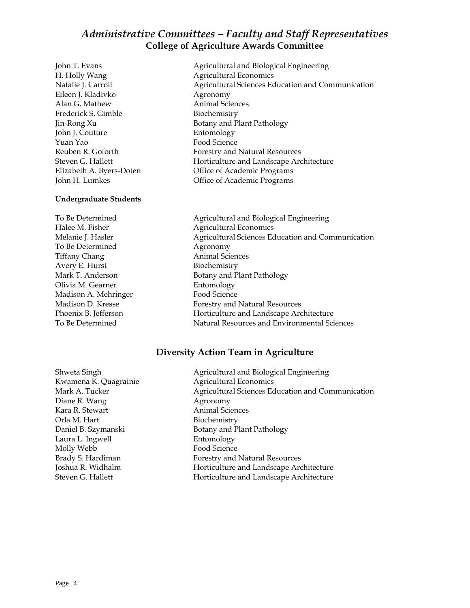### *Administrative Committees – Faculty and Staff Representatives* **College of Agriculture Awards Committee**

H. Holly Wang **Agricultural Economics** Eileen J. Kladivko Agronomy Alan G. Mathew Animal Sciences Frederick S. Gimble Biochemistry John J. Couture Entomology Yuan Yao Food Science John H. Lumkes **Office of Academic Programs** 

#### **Undergraduate Students**

Halee M. Fisher **Agricultural Economics** To Be Determined Agronomy Tiffany Chang **Animal** Sciences Avery E. Hurst Biochemistry Olivia M. Gearner Entomology Madison A. Mehringer Food Science

John T. Evans **Agricultural and Biological Engineering** Natalie J. Carroll Agricultural Sciences Education and Communication Jin-Rong Xu Botany and Plant Pathology Reuben R. Goforth Forestry and Natural Resources Steven G. Hallett **Horticulture and Landscape Architecture** Elizabeth A. Byers-Doten Office of Academic Programs

To Be Determined Agricultural and Biological Engineering Melanie J. Hasler **Agricultural Sciences Education and Communication** Agricultural Sciences Education and Communication Mark T. Anderson Botany and Plant Pathology Madison D. Kresse **Forestry** and Natural Resources Phoenix B. Jefferson **Horticulture and Landscape Architecture** To Be Determined Natural Resources and Environmental Sciences

#### **Diversity Action Team in Agriculture**

Shweta Singh **Agricultural and Biological Engineering** Kwamena K. Quagrainie **Agricultural Economics** Mark A. Tucker **Agricultural Sciences Education and Communication** Agricultural Sciences Education and Communication Diane R. Wang Agronomy Kara R. Stewart **Animal Sciences** Orla M. Hart Biochemistry Daniel B. Szymanski<br>Botany and Plant Pathology Laura L. Ingwell **Entomology** Molly Webb Food Science Brady S. Hardiman Forestry and Natural Resources Joshua R. Widhalm Horticulture and Landscape Architecture Steven G. Hallett **Horticulture and Landscape Architecture**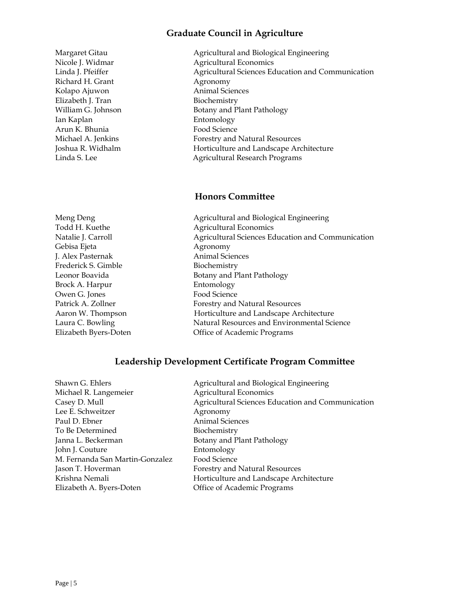#### **Graduate Council in Agriculture**

Richard H. Grant Agronomy Kolapo Ajuwon **Animal Sciences** Elizabeth J. Tran Biochemistry Ian Kaplan Entomology Arun K. Bhunia Food Science

Gebisa Ejeta **Agronomy** J. Alex Pasternak Animal Sciences Frederick S. Gimble Biochemistry Brock A. Harpur Entomology Owen G. Jones Food Science

Margaret Gitau **Agricultural and Biological Engineering** Nicole J. Widmar Agricultural Economics Agricultural Sciences Education and Communication William G. Johnson Botany and Plant Pathology Michael A. Jenkins Forestry and Natural Resources Joshua R. Widhalm Horticulture and Landscape Architecture Linda S. Lee Agricultural Research Programs

#### **Honors Committee**

Meng Deng **Agricultural and Biological Engineering** Todd H. Kuethe Agricultural Economics Natalie J. Carroll **Agricultural Sciences Education and Communication** Agricultural Sciences Education and Communication Leonor Boavida Botany and Plant Pathology Patrick A. Zollner Forestry and Natural Resources Aaron W. Thompson **Horticulture and Landscape Architecture** Laura C. Bowling Natural Resources and Environmental Science Elizabeth Byers-Doten Office of Academic Programs

#### **Leadership Development Certificate Program Committee**

| Agricultural and Biological Engineering           |
|---------------------------------------------------|
| <b>Agricultural Economics</b>                     |
| Agricultural Sciences Education and Communication |
| Agronomy                                          |
| <b>Animal Sciences</b>                            |
| Biochemistry                                      |
| Botany and Plant Pathology                        |
| Entomology                                        |
| Food Science                                      |
| Forestry and Natural Resources                    |
| Horticulture and Landscape Architecture           |
| Office of Academic Programs                       |
|                                                   |